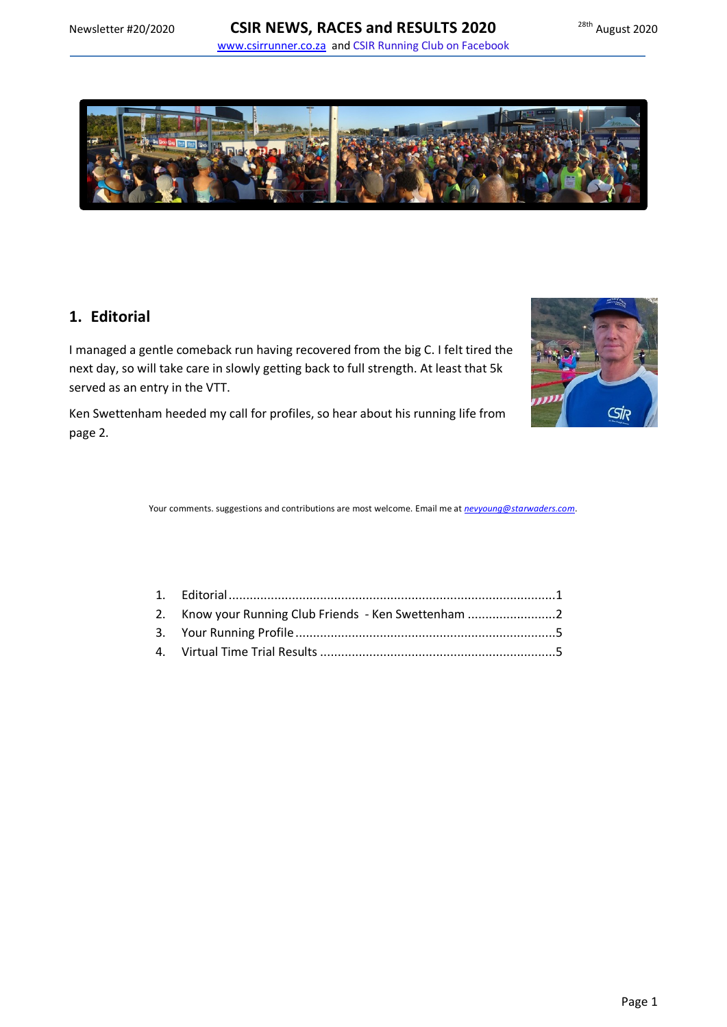

# <span id="page-0-0"></span>**1. Editorial**

I managed a gentle comeback run having recovered from the big C. I felt tired the next day, so will take care in slowly getting back to full strength. At least that 5k served as an entry in the VTT.

**Sir** 

Ken Swettenham heeded my call for profiles, so hear about his running life from page 2.

Your comments. suggestions and contributions are most welcome. Email me at *[nevyoung@starwaders.com](mailto:nevyoung@starwaders.com)*.

| 2. Know your Running Club Friends - Ken Swettenham 2 |  |
|------------------------------------------------------|--|
|                                                      |  |
|                                                      |  |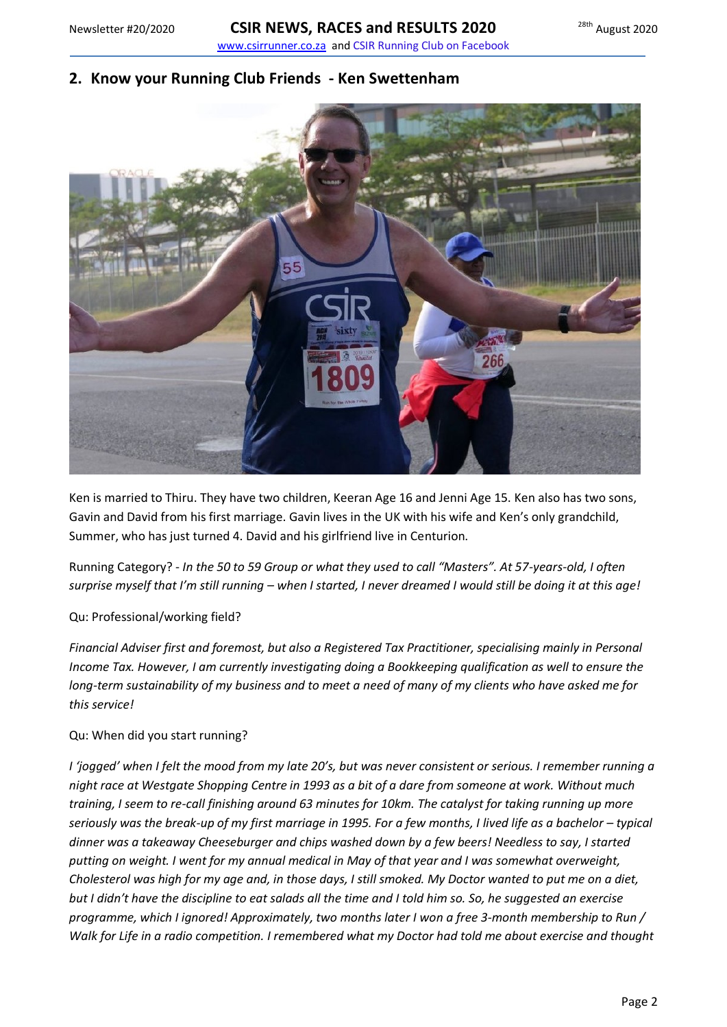### <span id="page-1-0"></span>**2. Know your Running Club Friends - Ken Swettenham**



Ken is married to Thiru. They have two children, Keeran Age 16 and Jenni Age 15. Ken also has two sons, Gavin and David from his first marriage. Gavin lives in the UK with his wife and Ken's only grandchild, Summer, who has just turned 4. David and his girlfriend live in Centurion.

Running Category? - *In the 50 to 59 Group or what they used to call "Masters". At 57-years-old, I often surprise myself that I'm still running – when I started, I never dreamed I would still be doing it at this age!*

### Qu: Professional/working field?

*Financial Adviser first and foremost, but also a Registered Tax Practitioner, specialising mainly in Personal Income Tax. However, I am currently investigating doing a Bookkeeping qualification as well to ensure the long-term sustainability of my business and to meet a need of many of my clients who have asked me for this service!*

### Qu: When did you start running?

*I 'jogged' when I felt the mood from my late 20's, but was never consistent or serious. I remember running a night race at Westgate Shopping Centre in 1993 as a bit of a dare from someone at work. Without much training, I seem to re-call finishing around 63 minutes for 10km. The catalyst for taking running up more seriously was the break-up of my first marriage in 1995. For a few months, I lived life as a bachelor – typical dinner was a takeaway Cheeseburger and chips washed down by a few beers! Needless to say, I started putting on weight. I went for my annual medical in May of that year and I was somewhat overweight, Cholesterol was high for my age and, in those days, I still smoked. My Doctor wanted to put me on a diet, but I didn't have the discipline to eat salads all the time and I told him so. So, he suggested an exercise programme, which I ignored! Approximately, two months later I won a free 3-month membership to Run / Walk for Life in a radio competition. I remembered what my Doctor had told me about exercise and thought*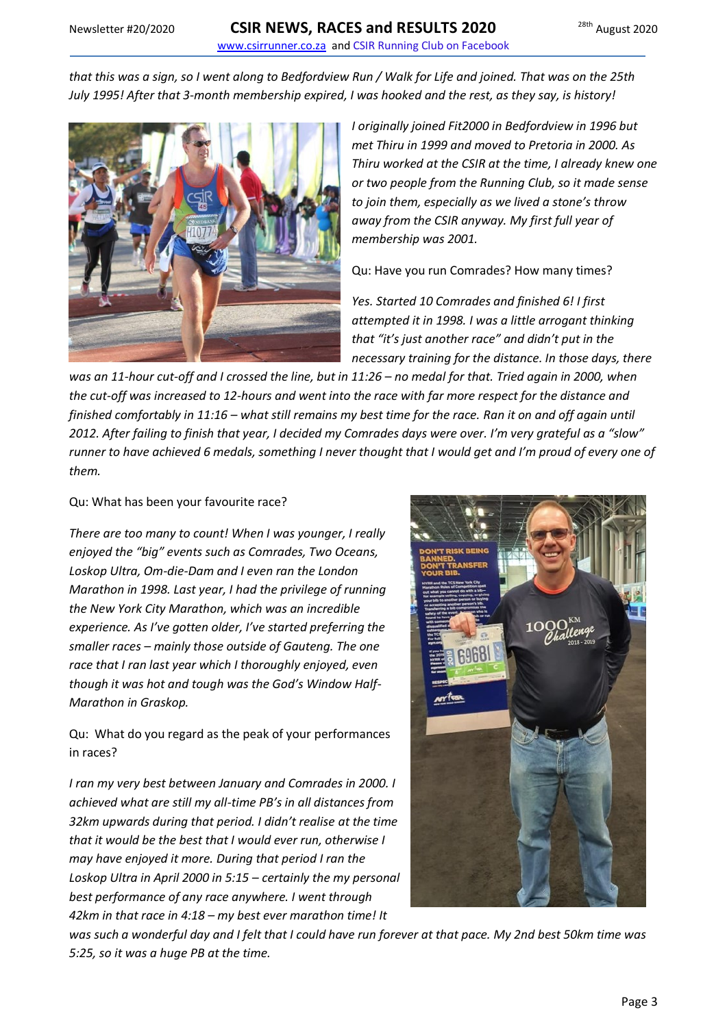*that this was a sign, so I went along to Bedfordview Run / Walk for Life and joined. That was on the 25th July 1995! After that 3-month membership expired, I was hooked and the rest, as they say, is history!*



*I originally joined Fit2000 in Bedfordview in 1996 but met Thiru in 1999 and moved to Pretoria in 2000. As Thiru worked at the CSIR at the time, I already knew one or two people from the Running Club, so it made sense to join them, especially as we lived a stone's throw away from the CSIR anyway. My first full year of membership was 2001.*

Qu: Have you run Comrades? How many times?

*Yes. Started 10 Comrades and finished 6! I first attempted it in 1998. I was a little arrogant thinking that "it's just another race" and didn't put in the necessary training for the distance. In those days, there* 

*was an 11-hour cut-off and I crossed the line, but in 11:26 – no medal for that. Tried again in 2000, when the cut-off was increased to 12-hours and went into the race with far more respect for the distance and finished comfortably in 11:16 – what still remains my best time for the race. Ran it on and off again until 2012. After failing to finish that year, I decided my Comrades days were over. I'm very grateful as a "slow" runner to have achieved 6 medals, something I never thought that I would get and I'm proud of every one of them.*

### Qu: What has been your favourite race?

*There are too many to count! When I was younger, I really enjoyed the "big" events such as Comrades, Two Oceans, Loskop Ultra, Om-die-Dam and I even ran the London Marathon in 1998. Last year, I had the privilege of running the New York City Marathon, which was an incredible experience. As I've gotten older, I've started preferring the smaller races – mainly those outside of Gauteng. The one race that I ran last year which I thoroughly enjoyed, even though it was hot and tough was the God's Window Half-Marathon in Graskop.*

Qu: What do you regard as the peak of your performances in races?

*I ran my very best between January and Comrades in 2000. I achieved what are still my all-time PB's in all distances from 32km upwards during that period. I didn't realise at the time that it would be the best that I would ever run, otherwise I may have enjoyed it more. During that period I ran the Loskop Ultra in April 2000 in 5:15 – certainly the my personal best performance of any race anywhere. I went through 42km in that race in 4:18 – my best ever marathon time! It* 



*was such a wonderful day and I felt that I could have run forever at that pace. My 2nd best 50km time was 5:25, so it was a huge PB at the time.*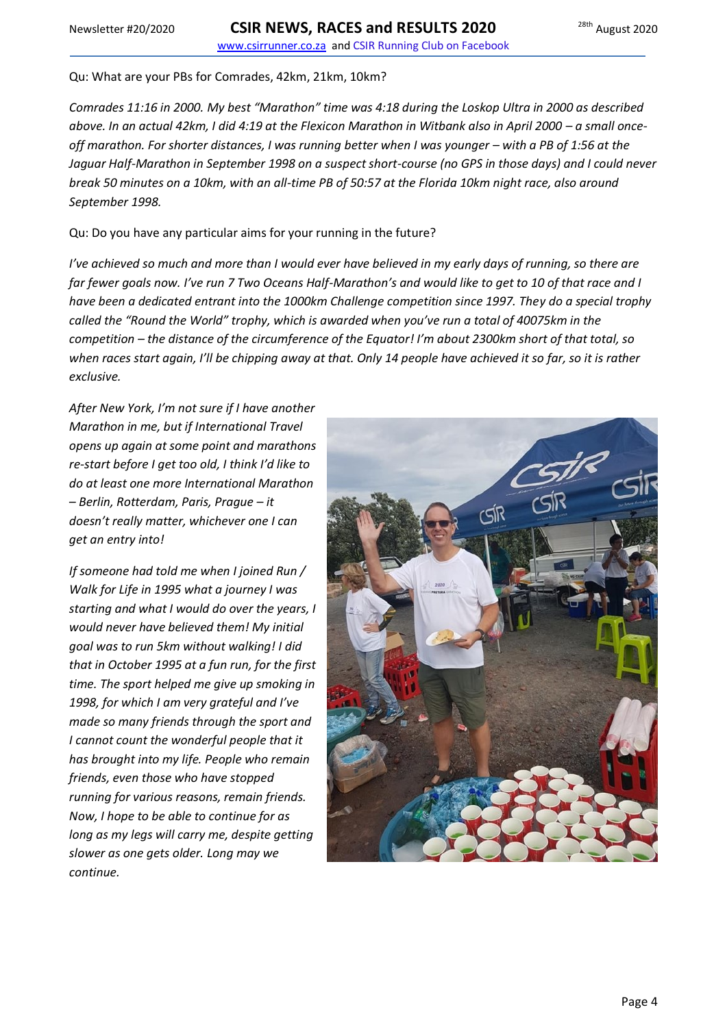Qu: What are your PBs for Comrades, 42km, 21km, 10km?

*Comrades 11:16 in 2000. My best "Marathon" time was 4:18 during the Loskop Ultra in 2000 as described*  above. In an actual 42km, I did 4:19 at the Flexicon Marathon in Witbank also in April 2000 - a small once*off marathon. For shorter distances, I was running better when I was younger – with a PB of 1:56 at the Jaguar Half-Marathon in September 1998 on a suspect short-course (no GPS in those days) and I could never break 50 minutes on a 10km, with an all-time PB of 50:57 at the Florida 10km night race, also around September 1998.*

Qu: Do you have any particular aims for your running in the future?

*I've achieved so much and more than I would ever have believed in my early days of running, so there are far fewer goals now. I've run 7 Two Oceans Half-Marathon's and would like to get to 10 of that race and I have been a dedicated entrant into the 1000km Challenge competition since 1997. They do a special trophy called the "Round the World" trophy, which is awarded when you've run a total of 40075km in the competition – the distance of the circumference of the Equator! I'm about 2300km short of that total, so when races start again, I'll be chipping away at that. Only 14 people have achieved it so far, so it is rather exclusive.*

*After New York, I'm not sure if I have another Marathon in me, but if International Travel opens up again at some point and marathons re-start before I get too old, I think I'd like to do at least one more International Marathon – Berlin, Rotterdam, Paris, Prague – it doesn't really matter, whichever one I can get an entry into!*

*If someone had told me when I joined Run / Walk for Life in 1995 what a journey I was starting and what I would do over the years, I would never have believed them! My initial goal was to run 5km without walking! I did that in October 1995 at a fun run, for the first time. The sport helped me give up smoking in 1998, for which I am very grateful and I've made so many friends through the sport and I cannot count the wonderful people that it has brought into my life. People who remain friends, even those who have stopped running for various reasons, remain friends. Now, I hope to be able to continue for as long as my legs will carry me, despite getting slower as one gets older. Long may we continue.*